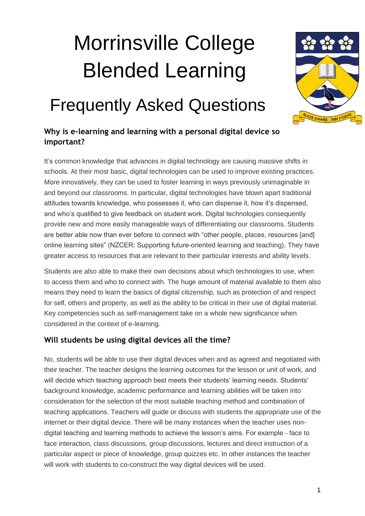# Morrinsville College Blended Learning



# Frequently Asked Questions

### **Why is e-learning and learning with a personal digital device so important?**

It's common knowledge that advances in digital technology are causing massive shifts in schools. At their most basic, digital technologies can be used to improve existing practices. More innovatively, they can be used to foster learning in ways previously unimaginable in and beyond our classrooms. In particular, digital technologies have blown apart traditional attitudes towards knowledge, who possesses it, who can dispense it, how it's dispensed, and who's qualified to give feedback on student work. Digital technologies consequently provide new and more easily manageable ways of differentiating our classrooms. Students are better able now than ever before to connect with "other people, places, resources [and] online learning sites" (NZCER: Supporting future-oriented learning and teaching). They have greater access to resources that are relevant to their particular interests and ability levels.

Students are also able to make their own decisions about which technologies to use, when to access them and who to connect with. The huge amount of material available to them also means they need to learn the basics of digital citizenship, such as protection of and respect for self, others and property, as well as the ability to be critical in their use of digital material. Key competencies such as self-management take on a whole new significance when considered in the context of e-learning.

#### **Will students be using digital devices all the time?**

No, students will be able to use their digital devices when and as agreed and negotiated with their teacher. The teacher designs the learning outcomes for the lesson or unit of work, and will decide which teaching approach best meets their students' learning needs. Students' background knowledge, academic performance and learning abilities will be taken into consideration for the selection of the most suitable teaching method and combination of teaching applications. Teachers will guide or discuss with students the appropriate use of the internet or their digital device. There will be many instances when the teacher uses nondigital teaching and learning methods to achieve the lesson's aims. For example - face to face interaction, class discussions, group discussions, lectures and direct instruction of a particular aspect or piece of knowledge, group quizzes etc. In other instances the teacher will work with students to co-construct the way digital devices will be used.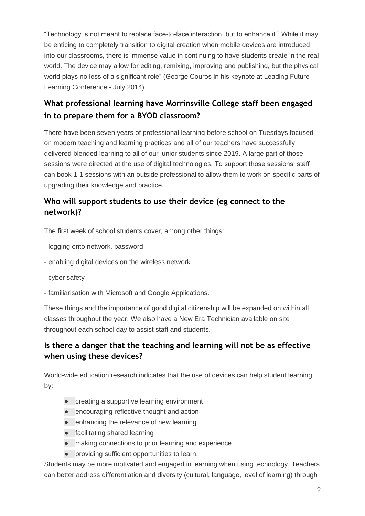"Technology is not meant to replace face-to-face interaction, but to enhance it." While it may be enticing to completely transition to digital creation when mobile devices are introduced into our classrooms, there is immense value in continuing to have students create in the real world. The device may allow for editing, remixing, improving and publishing, but the physical world plays no less of a significant role" (George Couros in his keynote at Leading Future Learning Conference - July 2014)

## **What professional learning have Morrinsville College staff been engaged in to prepare them for a BYOD classroom?**

There have been seven years of professional learning before school on Tuesdays focused on modern teaching and learning practices and all of our teachers have successfully delivered blended learning to all of our junior students since 2019. A large part of those sessions were directed at the use of digital technologies. To support those sessions' staff can book 1-1 sessions with an outside professional to allow them to work on specific parts of upgrading their knowledge and practice.

#### **Who will support students to use their device (eg connect to the network)?**

The first week of school students cover, among other things:

- logging onto network, password
- enabling digital devices on the wireless network
- cyber safety
- familiarisation with Microsoft and Google Applications.

These things and the importance of good digital citizenship will be expanded on within all classes throughout the year. We also have a New Era Technician available on site throughout each school day to assist staff and students.

#### **Is there a danger that the teaching and learning will not be as effective when using these devices?**

World-wide education research indicates that the use of devices can help student learning by:

- creating a supportive learning environment
- encouraging reflective thought and action
- enhancing the relevance of new learning
- facilitating shared learning
- making connections to prior learning and experience
- providing sufficient opportunities to learn.

Students may be more motivated and engaged in learning when using technology. Teachers can better address differentiation and diversity (cultural, language, level of learning) through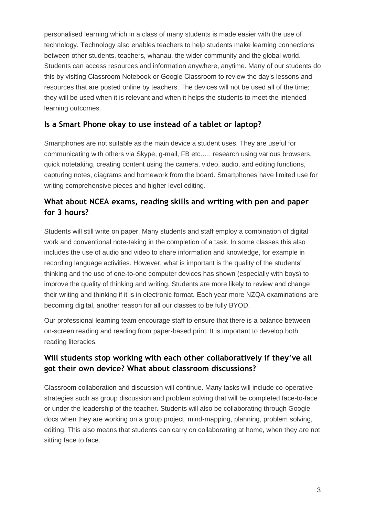personalised learning which in a class of many students is made easier with the use of technology. Technology also enables teachers to help students make learning connections between other students, teachers, whanau, the wider community and the global world. Students can access resources and information anywhere, anytime. Many of our students do this by visiting Classroom Notebook or Google Classroom to review the day's lessons and resources that are posted online by teachers. The devices will not be used all of the time; they will be used when it is relevant and when it helps the students to meet the intended learning outcomes.

#### **Is a Smart Phone okay to use instead of a tablet or laptop?**

Smartphones are not suitable as the main device a student uses. They are useful for communicating with others via Skype, g-mail, FB etc.…, research using various browsers, quick notetaking, creating content using the camera, video, audio, and editing functions, capturing notes, diagrams and homework from the board. Smartphones have limited use for writing comprehensive pieces and higher level editing.

#### **What about NCEA exams, reading skills and writing with pen and paper for 3 hours?**

Students will still write on paper. Many students and staff employ a combination of digital work and conventional note-taking in the completion of a task. In some classes this also includes the use of audio and video to share information and knowledge, for example in recording language activities. However, what is important is the quality of the students' thinking and the use of one-to-one computer devices has shown (especially with boys) to improve the quality of thinking and writing. Students are more likely to review and change their writing and thinking if it is in electronic format. Each year more NZQA examinations are becoming digital, another reason for all our classes to be fully BYOD.

Our professional learning team encourage staff to ensure that there is a balance between on-screen reading and reading from paper-based print. It is important to develop both reading literacies.

#### **Will students stop working with each other collaboratively if they've all got their own device? What about classroom discussions?**

Classroom collaboration and discussion will continue. Many tasks will include co-operative strategies such as group discussion and problem solving that will be completed face-to-face or under the leadership of the teacher. Students will also be collaborating through Google docs when they are working on a group project, mind-mapping, planning, problem solving, editing. This also means that students can carry on collaborating at home, when they are not sitting face to face.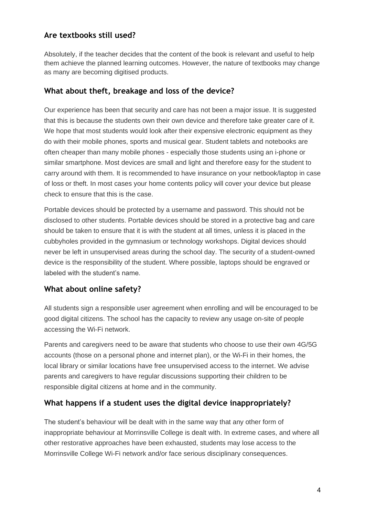#### **Are textbooks still used?**

Absolutely, if the teacher decides that the content of the book is relevant and useful to help them achieve the planned learning outcomes. However, the nature of textbooks may change as many are becoming digitised products.

#### **What about theft, breakage and loss of the device?**

Our experience has been that security and care has not been a major issue. It is suggested that this is because the students own their own device and therefore take greater care of it. We hope that most students would look after their expensive electronic equipment as they do with their mobile phones, sports and musical gear. Student tablets and notebooks are often cheaper than many mobile phones - especially those students using an i-phone or similar smartphone. Most devices are small and light and therefore easy for the student to carry around with them. It is recommended to have insurance on your netbook/laptop in case of loss or theft. In most cases your home contents policy will cover your device but please check to ensure that this is the case.

Portable devices should be protected by a username and password. This should not be disclosed to other students. Portable devices should be stored in a protective bag and care should be taken to ensure that it is with the student at all times, unless it is placed in the cubbyholes provided in the gymnasium or technology workshops. Digital devices should never be left in unsupervised areas during the school day. The security of a student-owned device is the responsibility of the student. Where possible, laptops should be engraved or labeled with the student's name.

#### **What about online safety?**

All students sign a responsible user agreement when enrolling and will be encouraged to be good digital citizens. The school has the capacity to review any usage on-site of people accessing the Wi-Fi network.

Parents and caregivers need to be aware that students who choose to use their own 4G/5G accounts (those on a personal phone and internet plan), or the Wi-Fi in their homes, the local library or similar locations have free unsupervised access to the internet. We advise parents and caregivers to have regular discussions supporting their children to be responsible digital citizens at home and in the community.

#### **What happens if a student uses the digital device inappropriately?**

The student's behaviour will be dealt with in the same way that any other form of inappropriate behaviour at Morrinsville College is dealt with. In extreme cases, and where all other restorative approaches have been exhausted, students may lose access to the Morrinsville College Wi-Fi network and/or face serious disciplinary consequences.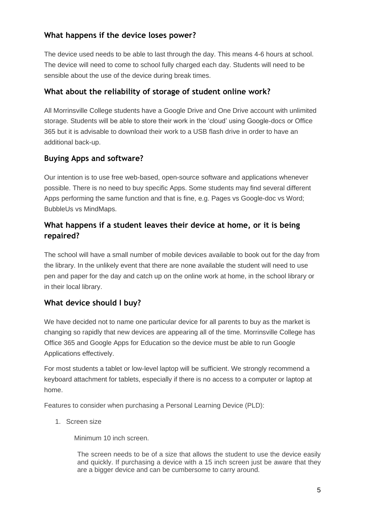#### **What happens if the device loses power?**

The device used needs to be able to last through the day. This means 4-6 hours at school. The device will need to come to school fully charged each day. Students will need to be sensible about the use of the device during break times.

#### **What about the reliability of storage of student online work?**

All Morrinsville College students have a Google Drive and One Drive account with unlimited storage. Students will be able to store their work in the 'cloud' using Google-docs or Office 365 but it is advisable to download their work to a USB flash drive in order to have an additional back-up.

#### **Buying Apps and software?**

Our intention is to use free web-based, open-source software and applications whenever possible. There is no need to buy specific Apps. Some students may find several different Apps performing the same function and that is fine, e.g. Pages vs Google-doc vs Word; BubbleUs vs MindMaps.

#### **What happens if a student leaves their device at home, or it is being repaired?**

The school will have a small number of mobile devices available to book out for the day from the library. In the unlikely event that there are none available the student will need to use pen and paper for the day and catch up on the online work at home, in the school library or in their local library.

#### **What device should I buy?**

We have decided not to name one particular device for all parents to buy as the market is changing so rapidly that new devices are appearing all of the time. Morrinsville College has Office 365 and Google Apps for Education so the device must be able to run Google Applications effectively.

For most students a tablet or low-level laptop will be sufficient. We strongly recommend a keyboard attachment for tablets, especially if there is no access to a computer or laptop at home.

Features to consider when purchasing a Personal Learning Device (PLD):

1. Screen size

Minimum 10 inch screen.

The screen needs to be of a size that allows the student to use the device easily and quickly. If purchasing a device with a 15 inch screen just be aware that they are a bigger device and can be cumbersome to carry around.